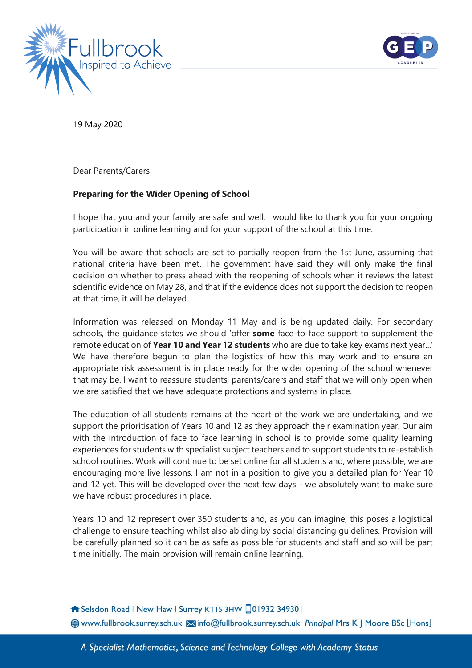



19 May 2020

Dear Parents/Carers

## **Preparing for the Wider Opening of School**

I hope that you and your family are safe and well. I would like to thank you for your ongoing participation in online learning and for your support of the school at this time.

You will be aware that schools are set to partially reopen from the 1st June, assuming that national criteria have been met. The government have said they will only make the final decision on whether to press ahead with the reopening of schools when it reviews the latest scientific evidence on May 28, and that if the evidence does not support the decision to reopen at that time, it will be delayed.

Information was released on Monday 11 May and is being updated daily. For secondary schools, the guidance states we should 'offer **some** face-to-face support to supplement the remote education of **Year 10 and Year 12 students** who are due to take key exams next year...' We have therefore begun to plan the logistics of how this may work and to ensure an appropriate risk assessment is in place ready for the wider opening of the school whenever that may be. I want to reassure students, parents/carers and staff that we will only open when we are satisfied that we have adequate protections and systems in place.

The education of all students remains at the heart of the work we are undertaking, and we support the prioritisation of Years 10 and 12 as they approach their examination year. Our aim with the introduction of face to face learning in school is to provide some quality learning experiences for students with specialist subject teachers and to support students to re-establish school routines. Work will continue to be set online for all students and, where possible, we are encouraging more live lessons. I am not in a position to give you a detailed plan for Year 10 and 12 yet. This will be developed over the next few days - we absolutely want to make sure we have robust procedures in place.

Years 10 and 12 represent over 350 students and, as you can imagine, this poses a logistical challenge to ensure teaching whilst also abiding by social distancing guidelines. Provision will be carefully planned so it can be as safe as possible for students and staff and so will be part time initially. The main provision will remain online learning.

Selsdon Road | New Haw | Surrey KT15 3HW 01932 349301

**@www.fullbrook.surrey.sch.uk Xinfo@fullbrook.surrey.sch.uk Principal Mrs K J Moore BSc [Hons]**